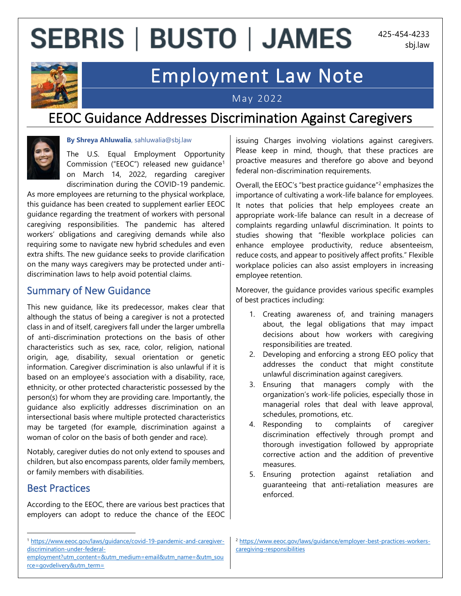# **SEBRIS | BUSTO | JAMES**

425-454-4233 sbj.law



# Employment Law Note

May 2022

# EEOC Guidance Addresses Discrimination Against Caregivers



#### **By Shreya Ahluwalia**, sahluwalia@sbj.law

The U.S. Equal Employment Opportunity Commission ("EEOC") released new guidance<sup>1</sup> on March 14, 2022, regarding caregiver discrimination during the COVID-19 pandemic.

As more employees are returning to the physical workplace, this guidance has been created to supplement earlier EEOC guidance regarding the treatment of workers with personal caregiving responsibilities. The pandemic has altered workers' obligations and caregiving demands while also requiring some to navigate new hybrid schedules and even extra shifts. The new guidance seeks to provide clarification on the many ways caregivers may be protected under antidiscrimination laws to help avoid potential claims.

### Summary of New Guidance

This new guidance, like its predecessor, makes clear that although the status of being a caregiver is not a protected class in and of itself, caregivers fall under the larger umbrella of anti-discrimination protections on the basis of other characteristics such as sex, race, color, religion, national origin, age, disability, sexual orientation or genetic information. Caregiver discrimination is also unlawful if it is based on an employee's association with a disability, race, ethnicity, or other protected characteristic possessed by the person(s) for whom they are providing care. Importantly, the guidance also explicitly addresses discrimination on an intersectional basis where multiple protected characteristics may be targeted (for example, discrimination against a woman of color on the basis of both gender and race).

Notably, caregiver duties do not only extend to spouses and children, but also encompass parents, older family members, or family members with disabilities.

### Best Practices

According to the EEOC, there are various best practices that employers can adopt to reduce the chance of the EEOC issuing Charges involving violations against caregivers. Please keep in mind, though, that these practices are proactive measures and therefore go above and beyond federal non-discrimination requirements.

Overall, the EEOC's "best practice quidance"<sup>2</sup> emphasizes the importance of cultivating a work-life balance for employees. It notes that policies that help employees create an appropriate work-life balance can result in a decrease of complaints regarding unlawful discrimination. It points to studies showing that "flexible workplace policies can enhance employee productivity, reduce absenteeism, reduce costs, and appear to positively affect profits." Flexible workplace policies can also assist employers in increasing employee retention.

Moreover, the guidance provides various specific examples of best practices including:

- 1. Creating awareness of, and training managers about, the legal obligations that may impact decisions about how workers with caregiving responsibilities are treated.
- 2. Developing and enforcing a strong EEO policy that addresses the conduct that might constitute unlawful discrimination against caregivers.
- 3. Ensuring that managers comply with the organization's work-life policies, especially those in managerial roles that deal with leave approval, schedules, promotions, etc.
- 4. Responding to complaints of caregiver discrimination effectively through prompt and thorough investigation followed by appropriate corrective action and the addition of preventive measures.
- 5. Ensuring protection against retaliation and guaranteeing that anti-retaliation measures are enforced.

<sup>1</sup> [https://www.eeoc.gov/laws/guidance/covid-19-pandemic-and-caregiver](https://www.eeoc.gov/laws/guidance/covid-19-pandemic-and-caregiver-discrimination-under-federal-employment?utm_content=&utm_medium=email&utm_name=&utm_source=govdelivery&utm_term=)[discrimination-under-federal-](https://www.eeoc.gov/laws/guidance/covid-19-pandemic-and-caregiver-discrimination-under-federal-employment?utm_content=&utm_medium=email&utm_name=&utm_source=govdelivery&utm_term=)

[employment?utm\\_content=&utm\\_medium=email&utm\\_name=&utm\\_sou](https://www.eeoc.gov/laws/guidance/covid-19-pandemic-and-caregiver-discrimination-under-federal-employment?utm_content=&utm_medium=email&utm_name=&utm_source=govdelivery&utm_term=) [rce=govdelivery&utm\\_term=](https://www.eeoc.gov/laws/guidance/covid-19-pandemic-and-caregiver-discrimination-under-federal-employment?utm_content=&utm_medium=email&utm_name=&utm_source=govdelivery&utm_term=)

<sup>2</sup> [https://www.eeoc.gov/laws/guidance/employer-best-practices-workers](https://www.eeoc.gov/laws/guidance/employer-best-practices-workers-caregiving-responsibilities)[caregiving-responsibilities](https://www.eeoc.gov/laws/guidance/employer-best-practices-workers-caregiving-responsibilities)